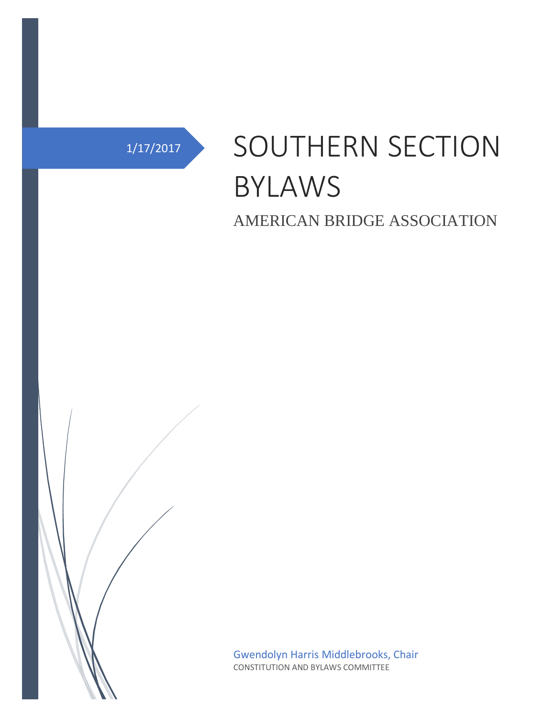# 1/17/2017 SOUTHERN SECTION BYLAWS

AMERICAN BRIDGE ASSOCIATION



Gwendolyn Harris Middlebrooks, Chair CONSTITUTION AND BYLAWS COMMITTEE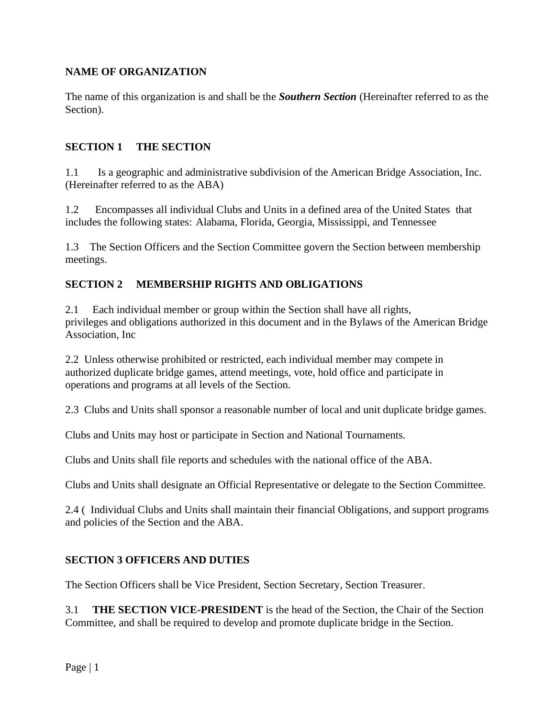#### **NAME OF ORGANIZATION**

The name of this organization is and shall be the *Southern Section* (Hereinafter referred to as the Section).

#### **SECTION 1 THE SECTION**

1.1 Is a geographic and administrative subdivision of the American Bridge Association, Inc. (Hereinafter referred to as the ABA)

1.2 Encompasses all individual Clubs and Units in a defined area of the United States that includes the following states: Alabama, Florida, Georgia, Mississippi, and Tennessee

1.3 The Section Officers and the Section Committee govern the Section between membership meetings.

#### **SECTION 2 MEMBERSHIP RIGHTS AND OBLIGATIONS**

2.1 Each individual member or group within the Section shall have all rights, privileges and obligations authorized in this document and in the Bylaws of the American Bridge Association, Inc

2.2 Unless otherwise prohibited or restricted, each individual member may compete in authorized duplicate bridge games, attend meetings, vote, hold office and participate in operations and programs at all levels of the Section.

2.3 Clubs and Units shall sponsor a reasonable number of local and unit duplicate bridge games.

Clubs and Units may host or participate in Section and National Tournaments.

Clubs and Units shall file reports and schedules with the national office of the ABA.

Clubs and Units shall designate an Official Representative or delegate to the Section Committee.

2.4 ( Individual Clubs and Units shall maintain their financial Obligations, and support programs and policies of the Section and the ABA.

#### **SECTION 3 OFFICERS AND DUTIES**

The Section Officers shall be Vice President, Section Secretary, Section Treasurer.

3.1 **THE SECTION VICE-PRESIDENT** is the head of the Section, the Chair of the Section Committee, and shall be required to develop and promote duplicate bridge in the Section.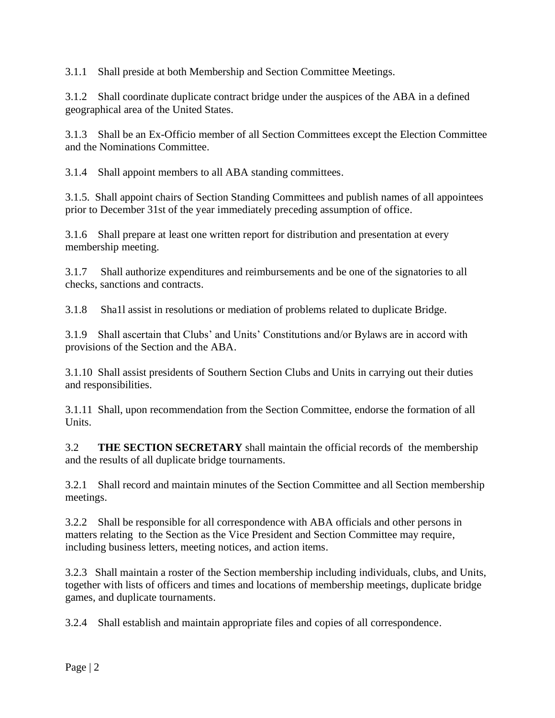3.1.1 Shall preside at both Membership and Section Committee Meetings.

3.1.2 Shall coordinate duplicate contract bridge under the auspices of the ABA in a defined geographical area of the United States.

3.1.3 Shall be an Ex-Officio member of all Section Committees except the Election Committee and the Nominations Committee.

3.1.4 Shall appoint members to all ABA standing committees.

3.1.5. Shall appoint chairs of Section Standing Committees and publish names of all appointees prior to December 31st of the year immediately preceding assumption of office.

3.1.6 Shall prepare at least one written report for distribution and presentation at every membership meeting.

3.1.7 Shall authorize expenditures and reimbursements and be one of the signatories to all checks, sanctions and contracts.

3.1.8 Sha1l assist in resolutions or mediation of problems related to duplicate Bridge.

3.1.9 Shall ascertain that Clubs' and Units' Constitutions and/or Bylaws are in accord with provisions of the Section and the ABA.

3.1.10 Shall assist presidents of Southern Section Clubs and Units in carrying out their duties and responsibilities.

3.1.11 Shall, upon recommendation from the Section Committee, endorse the formation of all **Units** 

3.2 **THE SECTION SECRETARY** shall maintain the official records of the membership and the results of all duplicate bridge tournaments.

3.2.1 Shall record and maintain minutes of the Section Committee and all Section membership meetings.

3.2.2 Shall be responsible for all correspondence with ABA officials and other persons in matters relating to the Section as the Vice President and Section Committee may require, including business letters, meeting notices, and action items.

3.2.3 Shall maintain a roster of the Section membership including individuals, clubs, and Units, together with lists of officers and times and locations of membership meetings, duplicate bridge games, and duplicate tournaments.

3.2.4 Shall establish and maintain appropriate files and copies of all correspondence.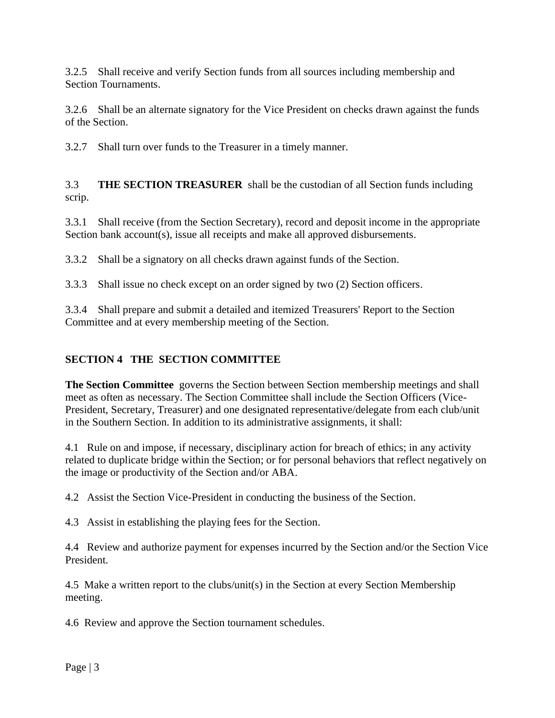3.2.5 Shall receive and verify Section funds from all sources including membership and Section Tournaments.

3.2.6 Shall be an alternate signatory for the Vice President on checks drawn against the funds of the Section.

3.2.7 Shall turn over funds to the Treasurer in a timely manner.

3.3 **THE SECTION TREASURER** shall be the custodian of all Section funds including scrip.

3.3.1 Shall receive (from the Section Secretary), record and deposit income in the appropriate Section bank account(s), issue all receipts and make all approved disbursements.

3.3.2 Shall be a signatory on all checks drawn against funds of the Section.

3.3.3 Shall issue no check except on an order signed by two (2) Section officers.

3.3.4 Shall prepare and submit a detailed and itemized Treasurers' Report to the Section Committee and at every membership meeting of the Section.

## **SECTION 4 THE SECTION COMMITTEE**

**The Section Committee** governs the Section between Section membership meetings and shall meet as often as necessary. The Section Committee shall include the Section Officers (Vice-President, Secretary, Treasurer) and one designated representative/delegate from each club/unit in the Southern Section. In addition to its administrative assignments, it shall:

4.1 Rule on and impose, if necessary, disciplinary action for breach of ethics; in any activity related to duplicate bridge within the Section; or for personal behaviors that reflect negatively on the image or productivity of the Section and/or ABA.

4.2 Assist the Section Vice-President in conducting the business of the Section.

4.3 Assist in establishing the playing fees for the Section.

4.4 Review and authorize payment for expenses incurred by the Section and/or the Section Vice President.

4.5 Make a written report to the clubs/unit(s) in the Section at every Section Membership meeting.

4.6 Review and approve the Section tournament schedules.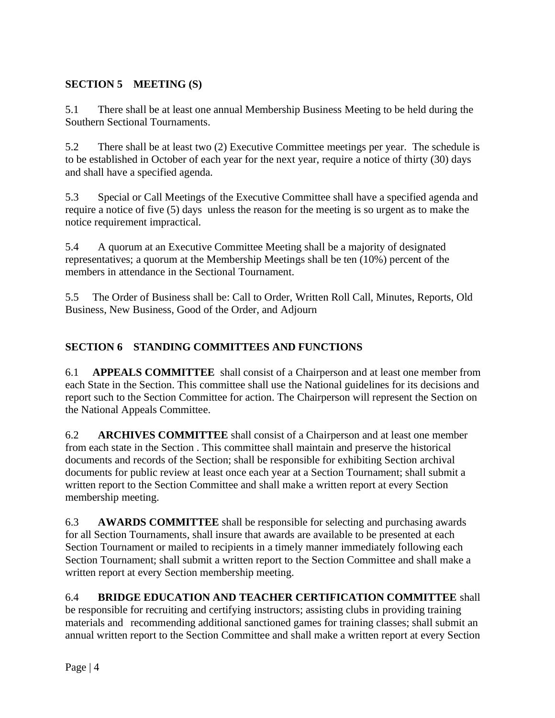## **SECTION 5 MEETING (S)**

5.1 There shall be at least one annual Membership Business Meeting to be held during the Southern Sectional Tournaments.

5.2 There shall be at least two (2) Executive Committee meetings per year. The schedule is to be established in October of each year for the next year, require a notice of thirty (30) days and shall have a specified agenda.

5.3 Special or Call Meetings of the Executive Committee shall have a specified agenda and require a notice of five (5) days unless the reason for the meeting is so urgent as to make the notice requirement impractical.

5.4 A quorum at an Executive Committee Meeting shall be a majority of designated representatives; a quorum at the Membership Meetings shall be ten (10%) percent of the members in attendance in the Sectional Tournament.

5.5 The Order of Business shall be: Call to Order, Written Roll Call, Minutes, Reports, Old Business, New Business, Good of the Order, and Adjourn

## **SECTION 6 STANDING COMMITTEES AND FUNCTIONS**

6.1 **APPEALS COMMITTEE** shall consist of a Chairperson and at least one member from each State in the Section. This committee shall use the National guidelines for its decisions and report such to the Section Committee for action. The Chairperson will represent the Section on the National Appeals Committee.

6.2 **ARCHIVES COMMITTEE** shall consist of a Chairperson and at least one member from each state in the Section . This committee shall maintain and preserve the historical documents and records of the Section; shall be responsible for exhibiting Section archival documents for public review at least once each year at a Section Tournament; shall submit a written report to the Section Committee and shall make a written report at every Section membership meeting.

6.3 **AWARDS COMMITTEE** shall be responsible for selecting and purchasing awards for all Section Tournaments, shall insure that awards are available to be presented at each Section Tournament or mailed to recipients in a timely manner immediately following each Section Tournament; shall submit a written report to the Section Committee and shall make a written report at every Section membership meeting.

6.4 **BRIDGE EDUCATION AND TEACHER CERTIFICATION COMMITTEE** shall be responsible for recruiting and certifying instructors; assisting clubs in providing training materials and recommending additional sanctioned games for training classes; shall submit an annual written report to the Section Committee and shall make a written report at every Section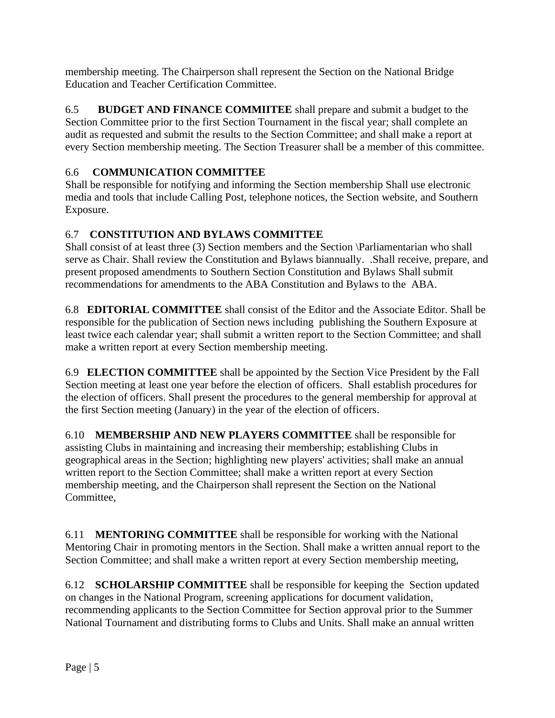membership meeting. The Chairperson shall represent the Section on the National Bridge Education and Teacher Certification Committee.

6.5 **BUDGET AND FINANCE COMMIITEE** shall prepare and submit a budget to the Section Committee prior to the first Section Tournament in the fiscal year; shall complete an audit as requested and submit the results to the Section Committee; and shall make a report at every Section membership meeting. The Section Treasurer shall be a member of this committee.

# 6.6 **COMMUNICATION COMMITTEE**

Shall be responsible for notifying and informing the Section membership Shall use electronic media and tools that include Calling Post, telephone notices, the Section website, and Southern Exposure.

# 6.7 **CONSTITUTION AND BYLAWS COMMITTEE**

Shall consist of at least three (3) Section members and the Section \Parliamentarian who shall serve as Chair. Shall review the Constitution and Bylaws biannually. .Shall receive, prepare, and present proposed amendments to Southern Section Constitution and Bylaws Shall submit recommendations for amendments to the ABA Constitution and Bylaws to the ABA.

6.8 **EDITORIAL COMMITTEE** shall consist of the Editor and the Associate Editor. Shall be responsible for the publication of Section news including publishing the Southern Exposure at least twice each calendar year; shall submit a written report to the Section Committee; and shall make a written report at every Section membership meeting.

6.9 **ELECTION COMMITTEE** shall be appointed by the Section Vice President by the Fall Section meeting at least one year before the election of officers. Shall establish procedures for the election of officers. Shall present the procedures to the general membership for approval at the first Section meeting (January) in the year of the election of officers.

6.10 **MEMBERSHIP AND NEW PLAYERS COMMITTEE** shall be responsible for assisting Clubs in maintaining and increasing their membership; establishing Clubs in geographical areas in the Section; highlighting new players' activities; shall make an annual written report to the Section Committee; shall make a written report at every Section membership meeting, and the Chairperson shall represent the Section on the National Committee,

6.11 **MENTORING COMMITTEE** shall be responsible for working with the National Mentoring Chair in promoting mentors in the Section. Shall make a written annual report to the Section Committee; and shall make a written report at every Section membership meeting,

6.12 **SCHOLARSHIP COMMITTEE** shall be responsible for keeping the Section updated on changes in the National Program, screening applications for document validation, recommending applicants to the Section Committee for Section approval prior to the Summer National Tournament and distributing forms to Clubs and Units. Shall make an annual written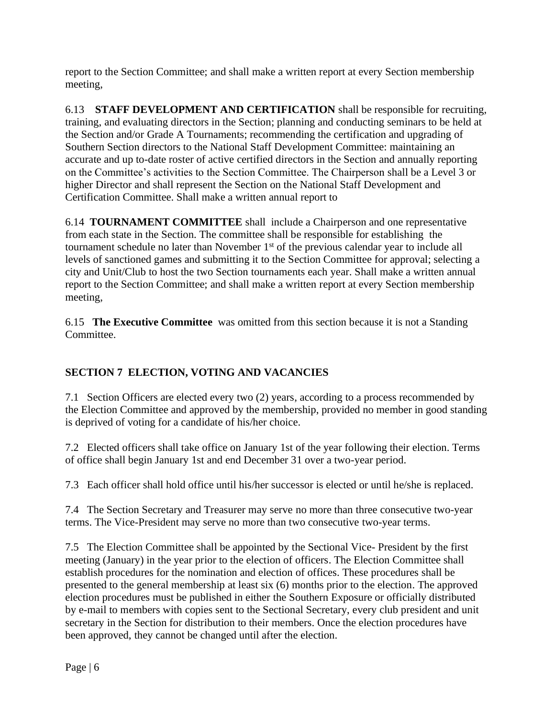report to the Section Committee; and shall make a written report at every Section membership meeting,

6.13 **STAFF DEVELOPMENT AND CERTIFICATION** shall be responsible for recruiting, training, and evaluating directors in the Section; planning and conducting seminars to be held at the Section and/or Grade A Tournaments; recommending the certification and upgrading of Southern Section directors to the National Staff Development Committee: maintaining an accurate and up to-date roster of active certified directors in the Section and annually reporting on the Committee's activities to the Section Committee. The Chairperson shall be a Level 3 or higher Director and shall represent the Section on the National Staff Development and Certification Committee. Shall make a written annual report to

6.14 **TOURNAMENT COMMITTEE** shall include a Chairperson and one representative from each state in the Section. The committee shall be responsible for establishing the tournament schedule no later than November 1<sup>st</sup> of the previous calendar year to include all levels of sanctioned games and submitting it to the Section Committee for approval; selecting a city and Unit/Club to host the two Section tournaments each year. Shall make a written annual report to the Section Committee; and shall make a written report at every Section membership meeting,

6.15 **The Executive Committee** was omitted from this section because it is not a Standing Committee.

## **SECTION 7 ELECTION, VOTING AND VACANCIES**

7.1 Section Officers are elected every two (2) years, according to a process recommended by the Election Committee and approved by the membership, provided no member in good standing is deprived of voting for a candidate of his/her choice.

7.2 Elected officers shall take office on January 1st of the year following their election. Terms of office shall begin January 1st and end December 31 over a two-year period.

7.3 Each officer shall hold office until his/her successor is elected or until he/she is replaced.

7.4 The Section Secretary and Treasurer may serve no more than three consecutive two-year terms. The Vice-President may serve no more than two consecutive two-year terms.

7.5 The Election Committee shall be appointed by the Sectional Vice- President by the first meeting (January) in the year prior to the election of officers. The Election Committee shall establish procedures for the nomination and election of offices. These procedures shall be presented to the general membership at least six (6) months prior to the election. The approved election procedures must be published in either the Southern Exposure or officially distributed by e-mail to members with copies sent to the Sectional Secretary, every club president and unit secretary in the Section for distribution to their members. Once the election procedures have been approved, they cannot be changed until after the election.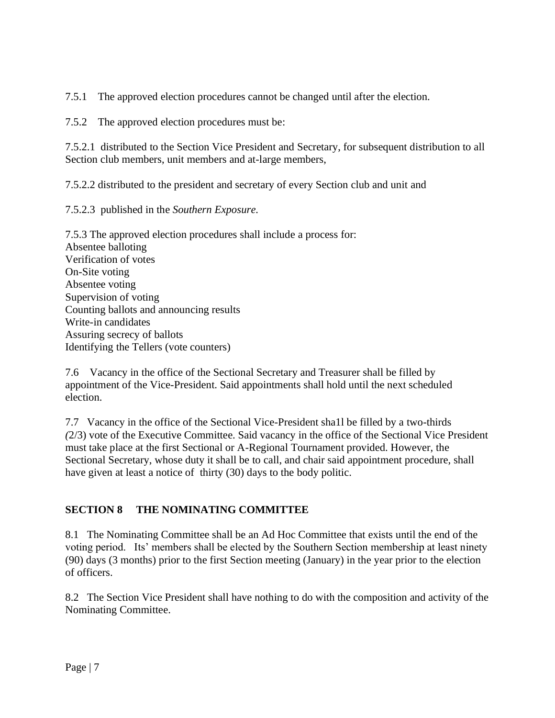7.5.1 The approved election procedures cannot be changed until after the election.

7.5.2 The approved election procedures must be:

7.5.2.1 distributed to the Section Vice President and Secretary, for subsequent distribution to all Section club members, unit members and at-large members,

7.5.2.2 distributed to the president and secretary of every Section club and unit and

7.5.2.3 published in the *Southern Exposure.*

7.5.3 The approved election procedures shall include a process for: Absentee balloting Verification of votes On-Site voting Absentee voting Supervision of voting Counting ballots and announcing results Write-in candidates Assuring secrecy of ballots Identifying the Tellers (vote counters)

7.6 Vacancy in the office of the Sectional Secretary and Treasurer shall be filled by appointment of the Vice-President. Said appointments shall hold until the next scheduled election.

7.7 Vacancy in the office of the Sectional Vice-President sha1l be filled by a two-thirds *(*2/3) vote of the Executive Committee. Said vacancy in the office of the Sectional Vice President must take place at the first Sectional or A-Regional Tournament provided. However, the Sectional Secretary, whose duty it shall be to call, and chair said appointment procedure, shall have given at least a notice of thirty (30) days to the body politic.

## **SECTION 8 THE NOMINATING COMMITTEE**

8.1 The Nominating Committee shall be an Ad Hoc Committee that exists until the end of the voting period. Its' members shall be elected by the Southern Section membership at least ninety (90) days (3 months) prior to the first Section meeting (January) in the year prior to the election of officers.

8.2 The Section Vice President shall have nothing to do with the composition and activity of the Nominating Committee.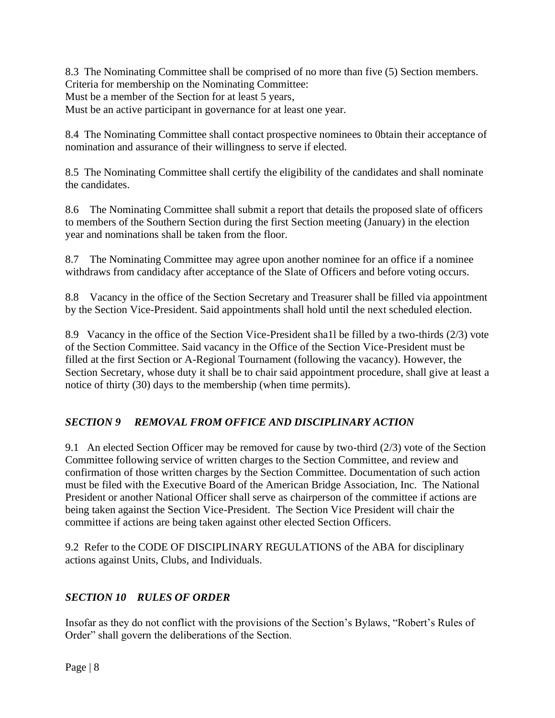8.3 The Nominating Committee shall be comprised of no more than five (5) Section members. Criteria for membership on the Nominating Committee: Must be a member of the Section for at least 5 years, Must be an active participant in governance for at least one year.

8.4 The Nominating Committee shall contact prospective nominees to 0btain their acceptance of nomination and assurance of their willingness to serve if elected.

8.5 The Nominating Committee shall certify the eligibility of the candidates and shall nominate the candidates.

8.6 The Nominating Committee shall submit a report that details the proposed slate of officers to members of the Southern Section during the first Section meeting (January) in the election year and nominations shall be taken from the floor.

8.7 The Nominating Committee may agree upon another nominee for an office if a nominee withdraws from candidacy after acceptance of the Slate of Officers and before voting occurs.

8.8 Vacancy in the office of the Section Secretary and Treasurer shall be filled via appointment by the Section Vice-President. Said appointments shall hold until the next scheduled election.

8.9 Vacancy in the office of the Section Vice-President sha1l be filled by a two-thirds (2/3) vote of the Section Committee. Said vacancy in the Office of the Section Vice-President must be filled at the first Section or A-Regional Tournament (following the vacancy). However, the Section Secretary, whose duty it shall be to chair said appointment procedure, shall give at least a notice of thirty (30) days to the membership (when time permits).

## *SECTION 9 REMOVAL FROM OFFICE AND DISCIPLINARY ACTION*

9.1 An elected Section Officer may be removed for cause by two-third (2/3) vote of the Section Committee following service of written charges to the Section Committee, and review and confirmation of those written charges by the Section Committee. Documentation of such action must be filed with the Executive Board of the American Bridge Association, Inc. The National President or another National Officer shall serve as chairperson of the committee if actions are being taken against the Section Vice-President. The Section Vice President will chair the committee if actions are being taken against other elected Section Officers.

9.2 Refer to the CODE OF DISCIPLINARY REGULATIONS of the ABA for disciplinary actions against Units, Clubs, and Individuals.

## *SECTION 10 RULES OF ORDER*

Insofar as they do not conflict with the provisions of the Section's Bylaws, "Robert's Rules of Order" shall govern the deliberations of the Section.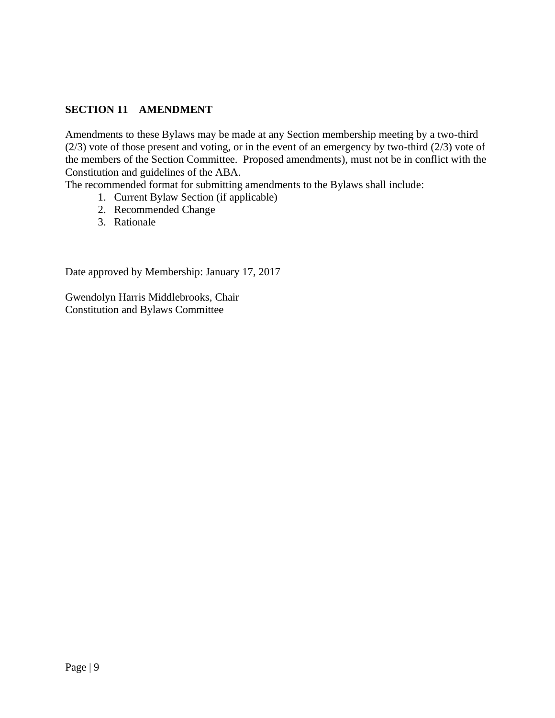#### **SECTION 11 AMENDMENT**

Amendments to these Bylaws may be made at any Section membership meeting by a two-third (2/3) vote of those present and voting, or in the event of an emergency by two-third (2/3) vote of the members of the Section Committee. Proposed amendments), must not be in conflict with the Constitution and guidelines of the ABA.

The recommended format for submitting amendments to the Bylaws shall include:

- 1. Current Bylaw Section (if applicable)
- 2. Recommended Change
- 3. Rationale

Date approved by Membership: January 17, 2017

Gwendolyn Harris Middlebrooks, Chair Constitution and Bylaws Committee